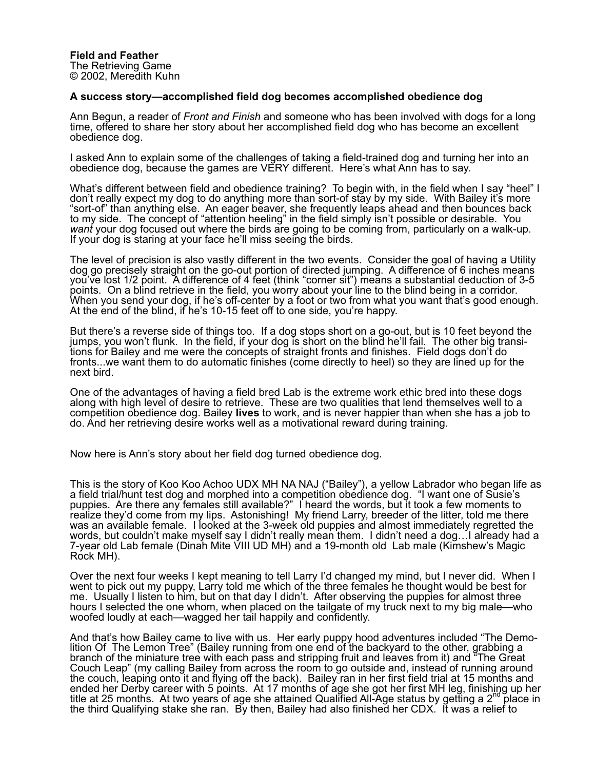## **A success story—accomplished field dog becomes accomplished obedience dog**

Ann Begun, a reader of *Front and Finish* and someone who has been involved with dogs for a long time, offered to share her story about her accomplished field dog who has become an excellent obedience dog.

I asked Ann to explain some of the challenges of taking a field-trained dog and turning her into an obedience dog, because the games are VERY different. Here's what Ann has to say.

What's different between field and obedience training? To begin with, in the field when I say "heel" I don't really expect my dog to do anything more than sort-of stay by my side. With Bailey it's more "sort-of" than anything else. An eager beaver, she frequently leaps ahead and then bounces back to my side. The concept of "attention heeling" in the field simply isn't possible or desirable. You *want* your dog focused out where the birds are going to be coming from, particularly on a walk-up. If your dog is staring at your face he'll miss seeing the birds.

The level of precision is also vastly different in the two events. Consider the goal of having a Utility dog go precisely straight on the go-out portion of directed jumping. A difference of 6 inches means you've lost 1/2 point. A difference of 4 feet (think "corner sit") means a substantial deduction of 3-5 points. On a blind retrieve in the field, you worry about your line to the blind being in a corridor. When you send your dog, if he's off-center by a foot or two from what you want that's good enough. At the end of the blind, if he's 10-15 feet off to one side, you're happy.

But there's a reverse side of things too. If a dog stops short on a go-out, but is 10 feet beyond the jumps, you won't flunk. In the field, if your dog is short on the blind he'll fail. The other big transitions for Bailey and me were the concepts of straight fronts and finishes. Field dogs don't do fronts...we want them to do automatic finishes (come directly to heel) so they are lined up for the next bird.

One of the advantages of having a field bred Lab is the extreme work ethic bred into these dogs along with high level of desire to retrieve. These are two qualities that lend themselves well to a competition obedience dog. Bailey **lives** to work, and is never happier than when she has a job to do. And her retrieving desire works well as a motivational reward during training.

Now here is Ann's story about her field dog turned obedience dog.

This is the story of Koo Koo Achoo UDX MH NA NAJ ("Bailey"), a yellow Labrador who began life as a field trial/hunt test dog and morphed into a competition obedience dog. "I want one of Susie's puppies. Are there any females still available?" I heard the words, but it took a few moments to realize they'd come from my lips. Astonishing! My friend Larry, breeder of the litter, told me there was an available female. I looked at the 3-week old puppies and almost immediately regretted the words, but couldn't make myself say I didn't really mean them. I didn't need a dog…I already had a 7-year old Lab female (Dinah Mite VIII UD MH) and a 19-month old Lab male (Kimshew's Magic Rock MH).

Over the next four weeks I kept meaning to tell Larry I'd changed my mind, but I never did. When I went to pick out my puppy, Larry told me which of the three females he thought would be best for me. Usually I listen to him, but on that day I didn't. After observing the puppies for almost three hours I selected the one whom, when placed on the tailgate of my truck next to my big male—who woofed loudly at each—wagged her tail happily and confidently.

And that's how Bailey came to live with us. Her early puppy hood adventures included "The Demolition Of The Lemon Tree" (Bailey running from one end of the backyard to the other, grabbing a branch of the miniature tree with each pass and stripping fruit and leaves from it) and "The Great Couch Leap" (my calling Bailey from across the room to go outside and, instead of running around the couch, leaping onto it and flying off the back). Bailey ran in her first field trial at 15 months and ended her Derby career with 5 points. At 17 months of age she got her first MH leg, finishing up her title at 25 months. At two years of age she attained Qualified All-Age status by getting a 2<sup>nd</sup> place in title at 25 months. At two years of age she attained Qualified All-Age status by getting a  $2^{nc}$ the third Qualifying stake she ran. By then, Bailey had also finished her CDX. It was a relief to